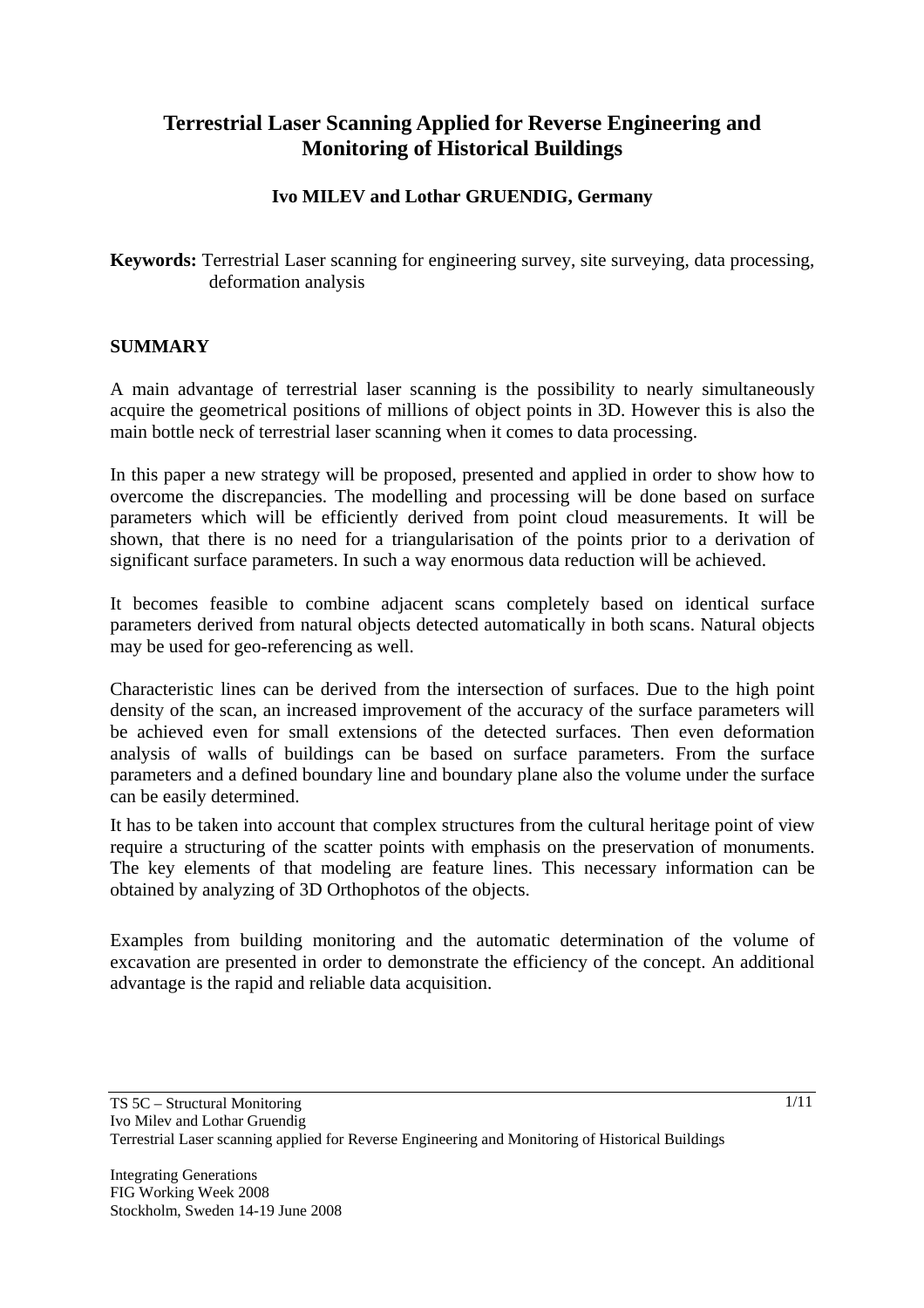# **Terrestrial Laser Scanning Applied for Reverse Engineering and Monitoring of Historical Buildings**

### **Ivo MILEV and Lothar GRUENDIG, Germany**

**Keywords:** Terrestrial Laser scanning for engineering survey, site surveying, data processing, deformation analysis

#### **SUMMARY**

A main advantage of terrestrial laser scanning is the possibility to nearly simultaneously acquire the geometrical positions of millions of object points in 3D. However this is also the main bottle neck of terrestrial laser scanning when it comes to data processing.

In this paper a new strategy will be proposed, presented and applied in order to show how to overcome the discrepancies. The modelling and processing will be done based on surface parameters which will be efficiently derived from point cloud measurements. It will be shown, that there is no need for a triangularisation of the points prior to a derivation of significant surface parameters. In such a way enormous data reduction will be achieved.

It becomes feasible to combine adjacent scans completely based on identical surface parameters derived from natural objects detected automatically in both scans. Natural objects may be used for geo-referencing as well.

Characteristic lines can be derived from the intersection of surfaces. Due to the high point density of the scan, an increased improvement of the accuracy of the surface parameters will be achieved even for small extensions of the detected surfaces. Then even deformation analysis of walls of buildings can be based on surface parameters. From the surface parameters and a defined boundary line and boundary plane also the volume under the surface can be easily determined.

It has to be taken into account that complex structures from the cultural heritage point of view require a structuring of the scatter points with emphasis on the preservation of monuments. The key elements of that modeling are feature lines. This necessary information can be obtained by analyzing of 3D Orthophotos of the objects.

Examples from building monitoring and the automatic determination of the volume of excavation are presented in order to demonstrate the efficiency of the concept. An additional advantage is the rapid and reliable data acquisition.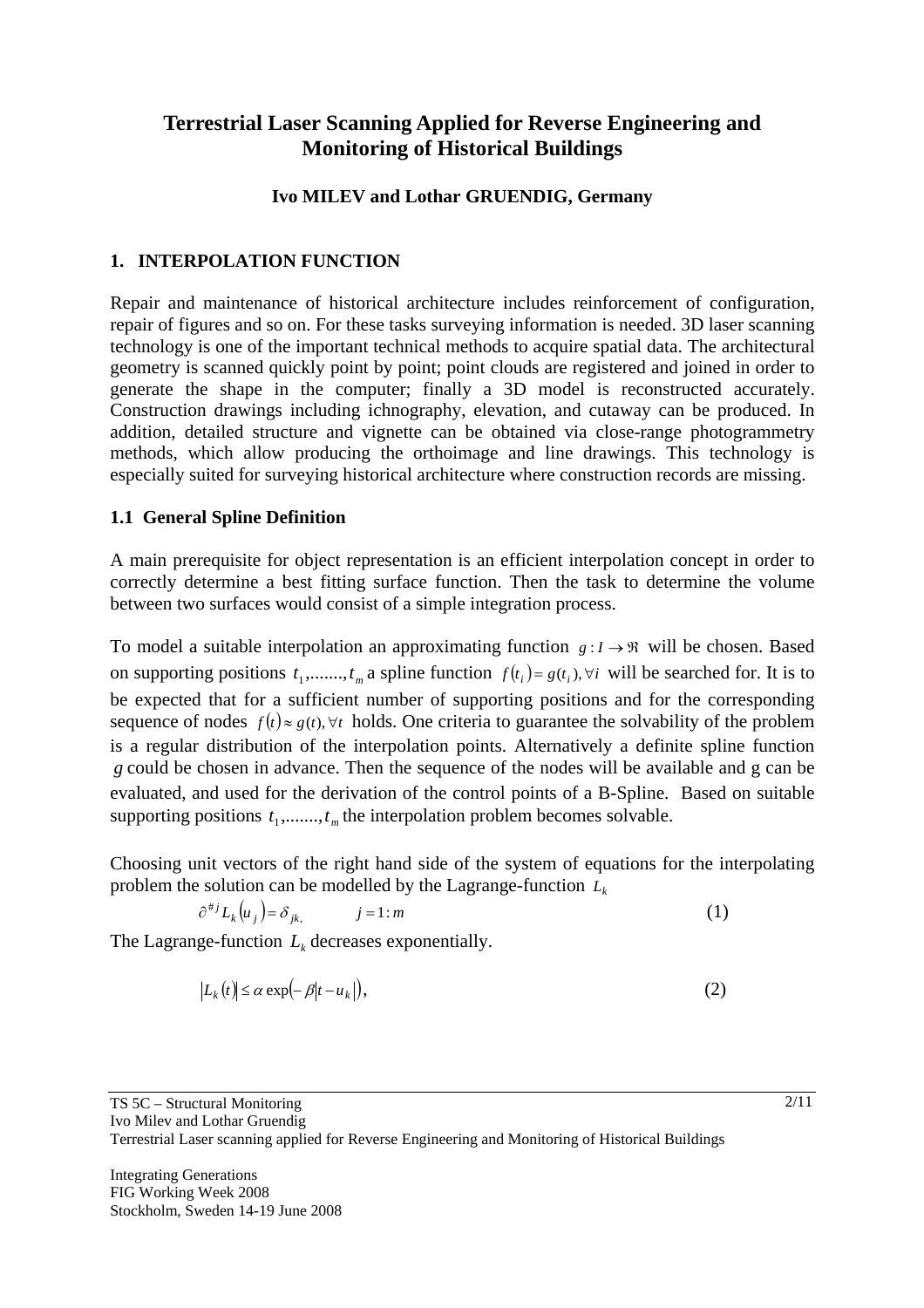# **Terrestrial Laser Scanning Applied for Reverse Engineering and Monitoring of Historical Buildings**

### **Ivo MILEV and Lothar GRUENDIG, Germany**

### **1. INTERPOLATION FUNCTION**

Repair and maintenance of historical architecture includes reinforcement of configuration, repair of figures and so on. For these tasks surveying information is needed. 3D laser scanning technology is one of the important technical methods to acquire spatial data. The architectural geometry is scanned quickly point by point; point clouds are registered and joined in order to generate the shape in the computer; finally a 3D model is reconstructed accurately. Construction drawings including ichnography, elevation, and cutaway can be produced. In addition, detailed structure and vignette can be obtained via close-range photogrammetry methods, which allow producing the orthoimage and line drawings. This technology is especially suited for surveying historical architecture where construction records are missing.

### **1.1 General Spline Definition**

A main prerequisite for object representation is an efficient interpolation concept in order to correctly determine a best fitting surface function. Then the task to determine the volume between two surfaces would consist of a simple integration process.

To model a suitable interpolation an approximating function  $g: I \to \mathbb{R}$  will be chosen. Based on supporting positions  $t_1$ ,......, $t_m$  a spline function  $f(t_i) = g(t_i)$ ,  $\forall i$  will be searched for. It is to be expected that for a sufficient number of supporting positions and for the corresponding sequence of nodes  $f(t) \approx g(t)$ ,  $\forall t$  holds. One criteria to guarantee the solvability of the problem is a regular distribution of the interpolation points. Alternatively a definite spline function *g* could be chosen in advance. Then the sequence of the nodes will be available and g can be evaluated, and used for the derivation of the control points of a B-Spline. Based on suitable supporting positions  $t_1$ ,......, $t_m$  the interpolation problem becomes solvable.

Choosing unit vectors of the right hand side of the system of equations for the interpolating problem the solution can be modelled by the Lagrange-function  $L_k$ 

$$
\partial^{\#j} L_k(u_j) = \delta_{jk}, \qquad j = 1 : m \tag{1}
$$

The Lagrange-function  $L_k$  decreases exponentially.

$$
|L_k(t)| \le \alpha \exp\left(-\beta |t - u_k|\right),\tag{2}
$$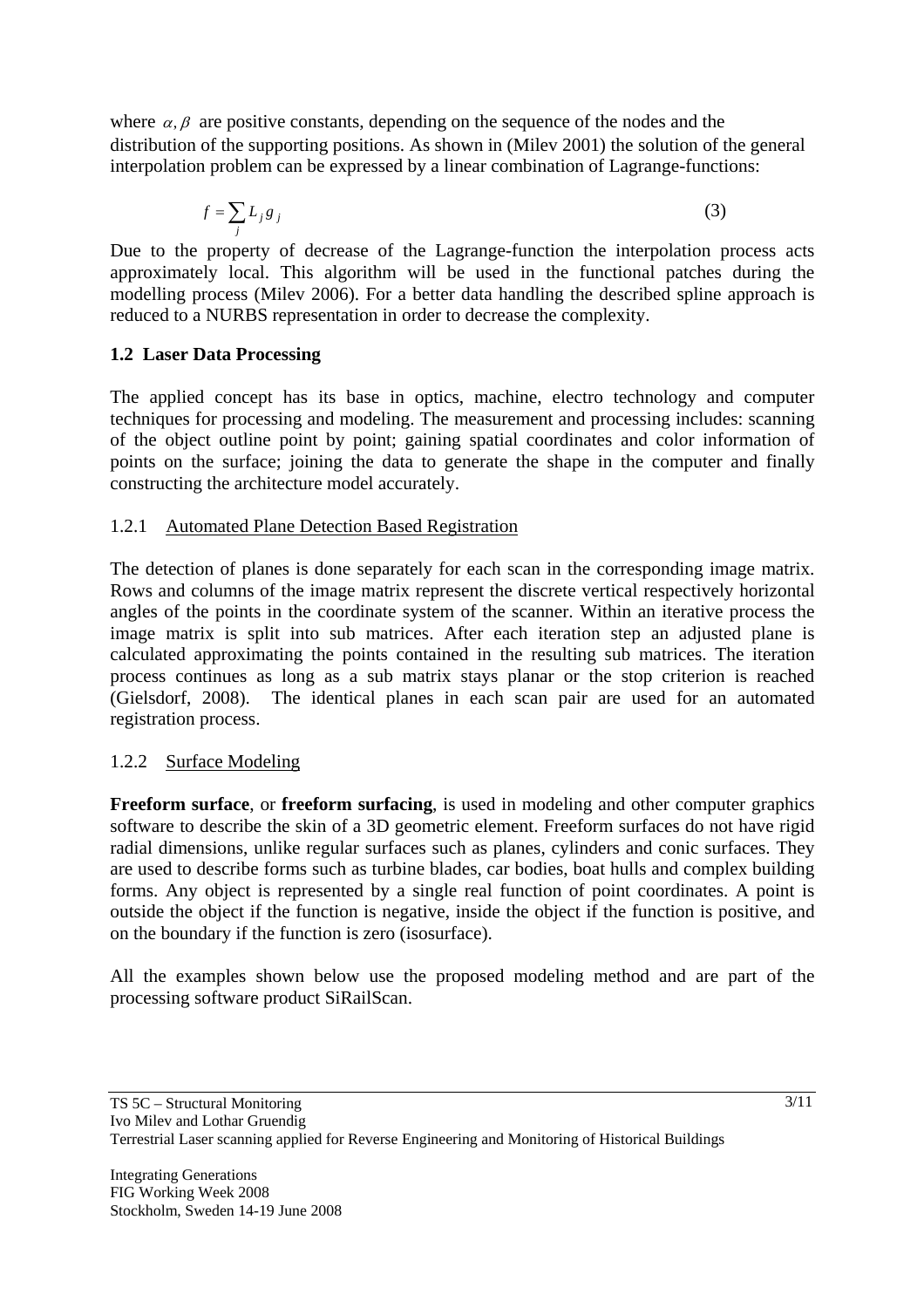where  $\alpha$ ,  $\beta$  are positive constants, depending on the sequence of the nodes and the distribution of the supporting positions. As shown in (Milev 2001) the solution of the general interpolation problem can be expressed by a linear combination of Lagrange-functions:

$$
f = \sum_{j} L_{j} g_{j} \tag{3}
$$

Due to the property of decrease of the Lagrange-function the interpolation process acts approximately local. This algorithm will be used in the functional patches during the modelling process (Milev 2006). For a better data handling the described spline approach is reduced to a NURBS representation in order to decrease the complexity.

### **1.2 Laser Data Processing**

The applied concept has its base in optics, machine, electro technology and computer techniques for processing and modeling. The measurement and processing includes: scanning of the object outline point by point; gaining spatial coordinates and color information of points on the surface; joining the data to generate the shape in the computer and finally constructing the architecture model accurately.

### 1.2.1 Automated Plane Detection Based Registration

The detection of planes is done separately for each scan in the corresponding image matrix. Rows and columns of the image matrix represent the discrete vertical respectively horizontal angles of the points in the coordinate system of the scanner. Within an iterative process the image matrix is split into sub matrices. After each iteration step an adjusted plane is calculated approximating the points contained in the resulting sub matrices. The iteration process continues as long as a sub matrix stays planar or the stop criterion is reached (Gielsdorf, 2008). The identical planes in each scan pair are used for an automated registration process.

# 1.2.2 Surface Modeling

**Freeform surface**, or **freeform surfacing**, is used in modeling and other computer graphics software to describe the skin of a 3D geometric element. Freeform surfaces do not have rigid radial dimensions, unlike regular surfaces such as planes, cylinders and conic surfaces. They are used to describe forms such as turbine blades, car bodies, boat hulls and complex building forms. Any object is represented by a single real function of point coordinates. A point is outside the object if the function is negative, inside the object if the function is positive, and on the boundary if the function is zero (isosurface).

All the examples shown below use the proposed modeling method and are part of the processing software product SiRailScan.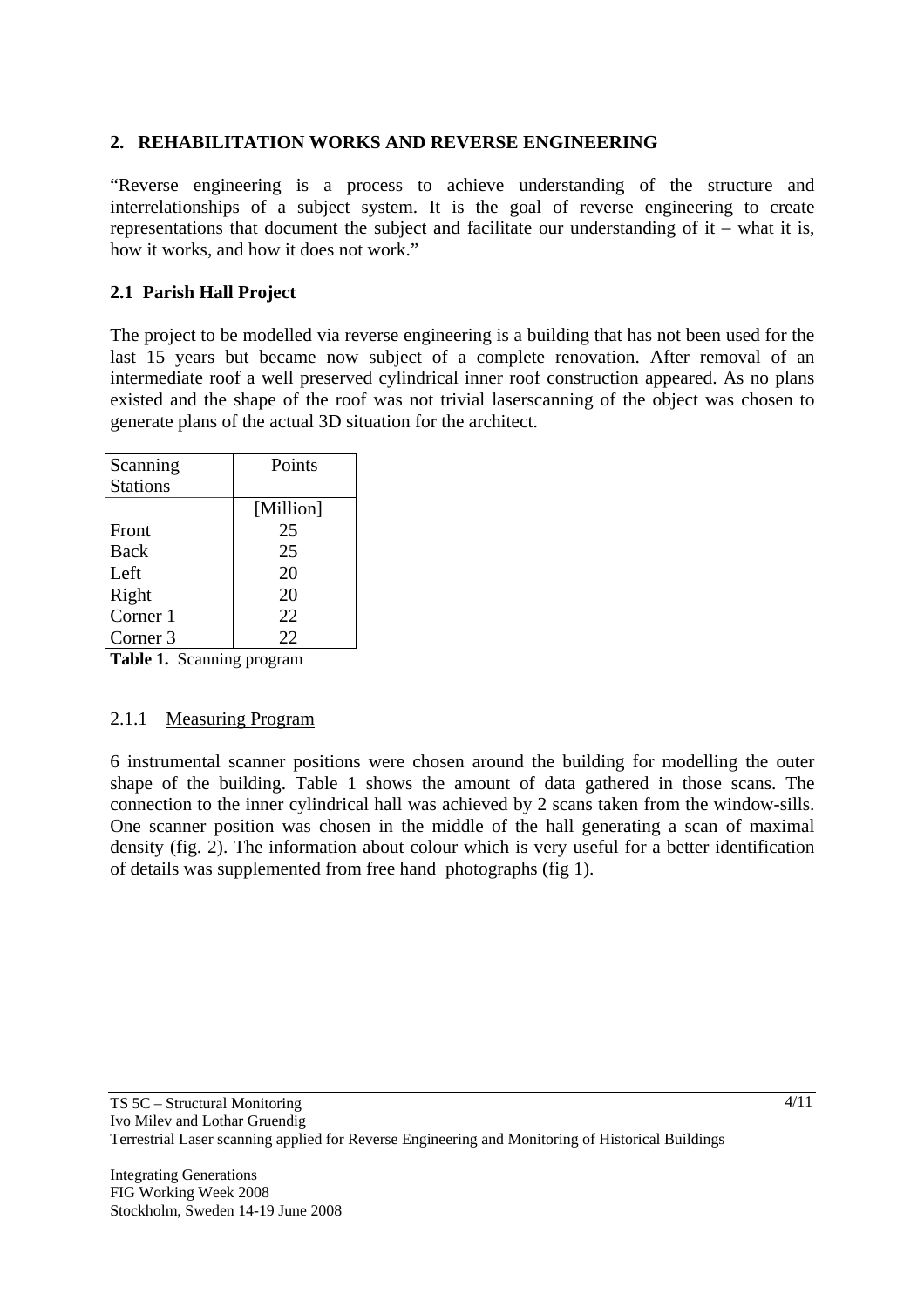### **2. REHABILITATION WORKS AND REVERSE ENGINEERING**

"Reverse engineering is a process to achieve understanding of the structure and interrelationships of a subject system. It is the goal of reverse engineering to create representations that document the subject and facilitate our understanding of it – what it is, how it works, and how it does not work."

### **2.1 Parish Hall Project**

The project to be modelled via reverse engineering is a building that has not been used for the last 15 years but became now subject of a complete renovation. After removal of an intermediate roof a well preserved cylindrical inner roof construction appeared. As no plans existed and the shape of the roof was not trivial laserscanning of the object was chosen to generate plans of the actual 3D situation for the architect.

| Scanning        | Points    |
|-----------------|-----------|
| <b>Stations</b> |           |
|                 | [Million] |
| Front           | 25        |
| <b>Back</b>     | 25        |
| Left            | 20        |
| Right           | 20        |
| Corner 1        | 22        |
| Corner 3        | 22        |

**Table 1.** Scanning program

### 2.1.1 Measuring Program

6 instrumental scanner positions were chosen around the building for modelling the outer shape of the building. Table 1 shows the amount of data gathered in those scans. The connection to the inner cylindrical hall was achieved by 2 scans taken from the window-sills. One scanner position was chosen in the middle of the hall generating a scan of maximal density (fig. 2). The information about colour which is very useful for a better identification of details was supplemented from free hand photographs (fig 1).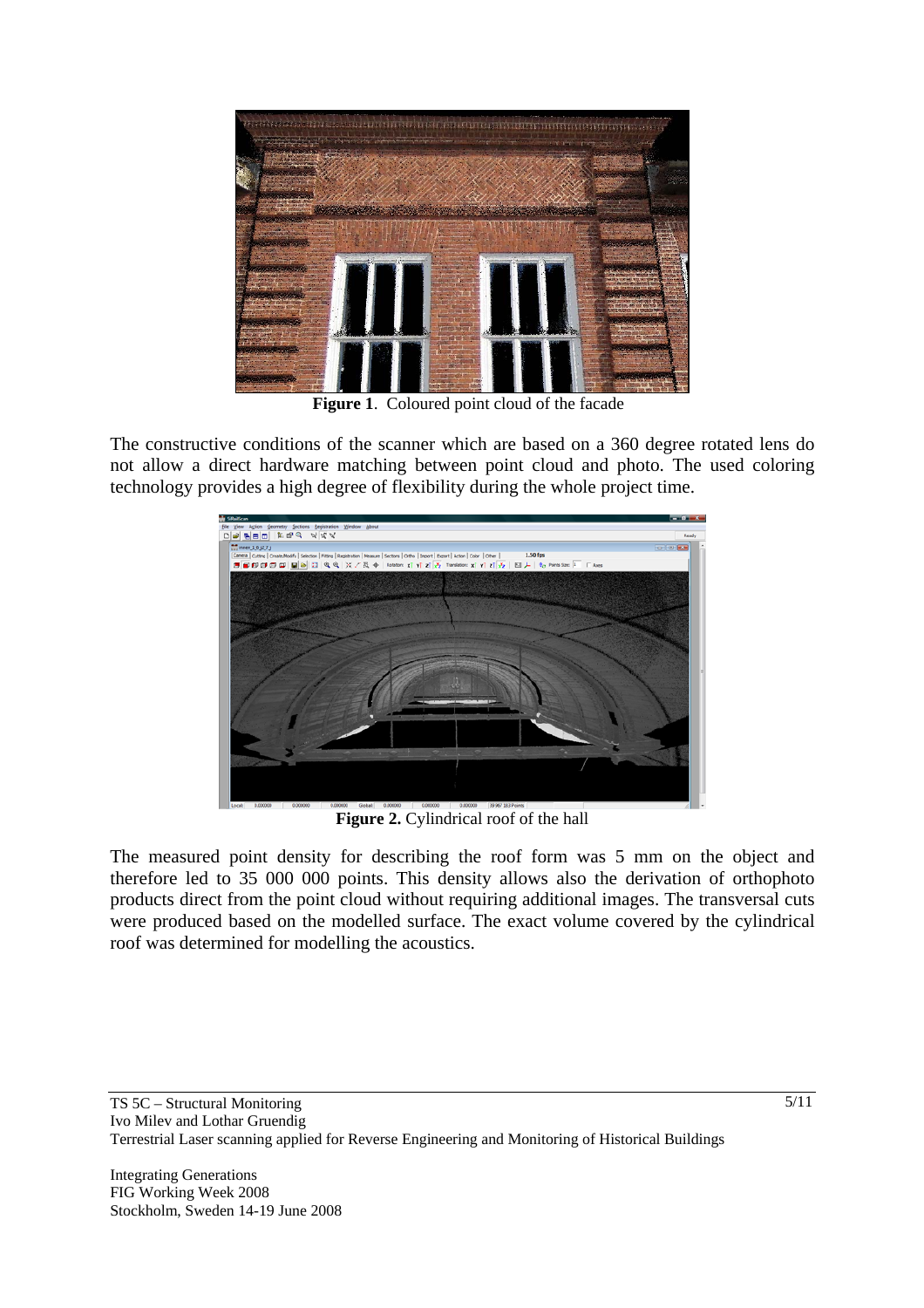

**Figure 1**. Coloured point cloud of the facade

The constructive conditions of the scanner which are based on a 360 degree rotated lens do not allow a direct hardware matching between point cloud and photo. The used coloring technology provides a high degree of flexibility during the whole project time.



**Figure 2.** Cylindrical roof of the hall

The measured point density for describing the roof form was 5 mm on the object and therefore led to 35 000 000 points. This density allows also the derivation of orthophoto products direct from the point cloud without requiring additional images. The transversal cuts were produced based on the modelled surface. The exact volume covered by the cylindrical roof was determined for modelling the acoustics.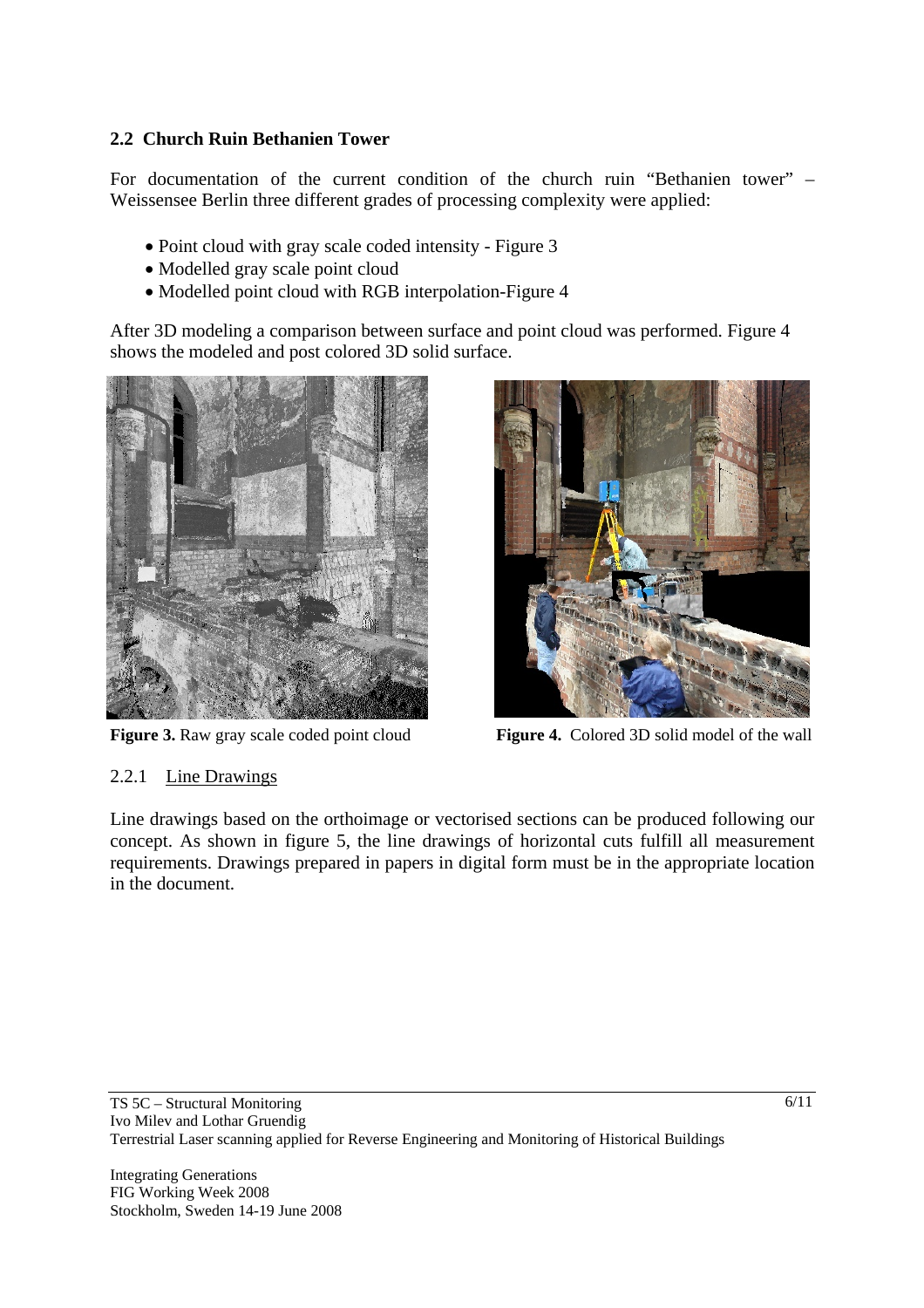# **2.2 Church Ruin Bethanien Tower**

For documentation of the current condition of the church ruin "Bethanien tower" – Weissensee Berlin three different grades of processing complexity were applied:

- Point cloud with gray scale coded intensity Figure 3
- Modelled gray scale point cloud
- Modelled point cloud with RGB interpolation-Figure 4

After 3D modeling a comparison between surface and point cloud was performed. Figure 4 shows the modeled and post colored 3D solid surface.





Figure 3. Raw gray scale coded point cloud **Figure 4.** Colored 3D solid model of the wall

# 2.2.1 Line Drawings

Line drawings based on the orthoimage or vectorised sections can be produced following our concept. As shown in figure 5, the line drawings of horizontal cuts fulfill all measurement requirements. Drawings prepared in papers in digital form must be in the appropriate location in the document.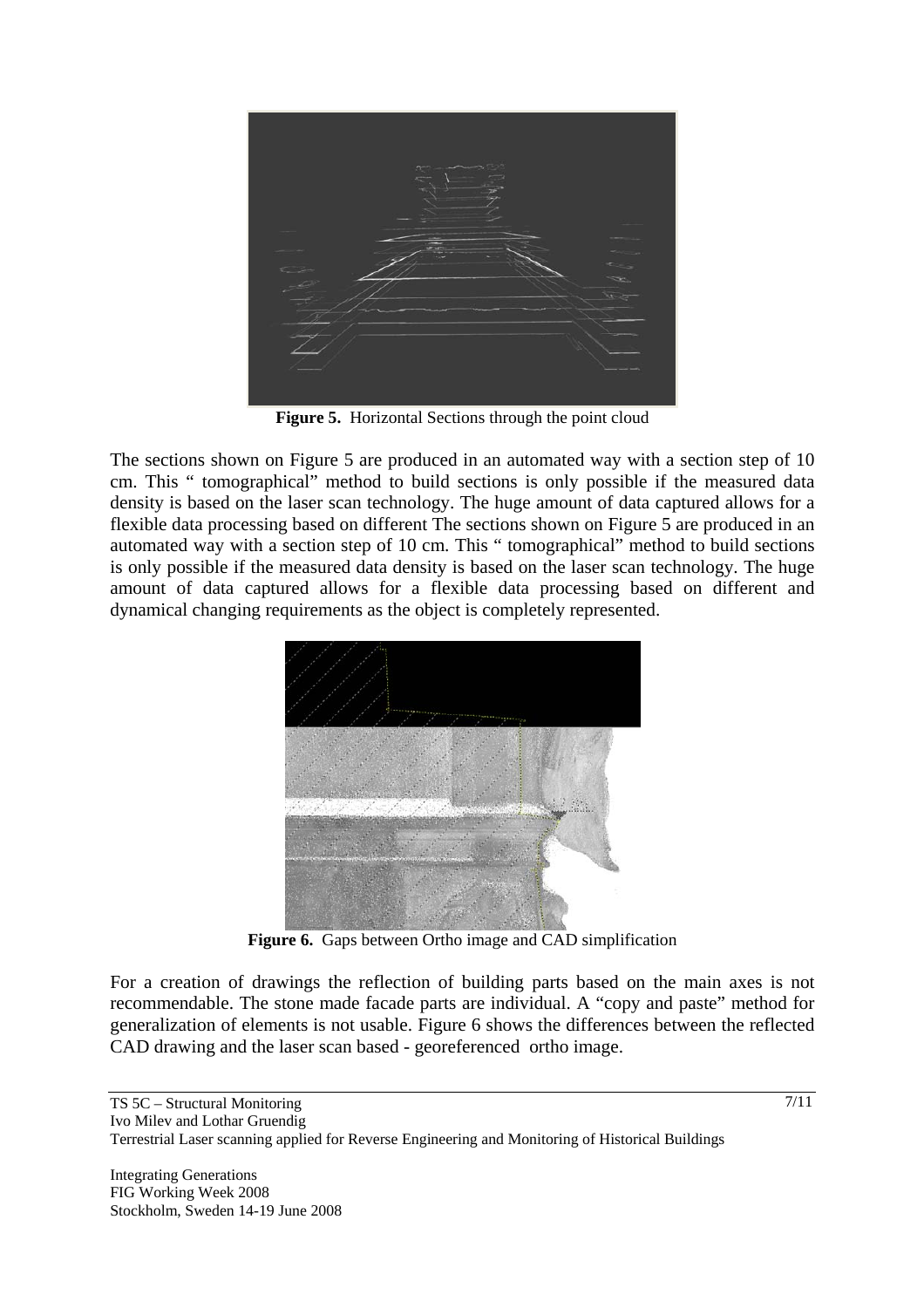

Figure 5. Horizontal Sections through the point cloud

The sections shown on Figure 5 are produced in an automated way with a section step of 10 cm. This " tomographical" method to build sections is only possible if the measured data density is based on the laser scan technology. The huge amount of data captured allows for a flexible data processing based on different The sections shown on Figure 5 are produced in an automated way with a section step of 10 cm. This " tomographical" method to build sections is only possible if the measured data density is based on the laser scan technology. The huge amount of data captured allows for a flexible data processing based on different and dynamical changing requirements as the object is completely represented.



**Figure 6.** Gaps between Ortho image and CAD simplification

For a creation of drawings the reflection of building parts based on the main axes is not recommendable. The stone made facade parts are individual. A "copy and paste" method for generalization of elements is not usable. Figure 6 shows the differences between the reflected CAD drawing and the laser scan based - georeferenced ortho image.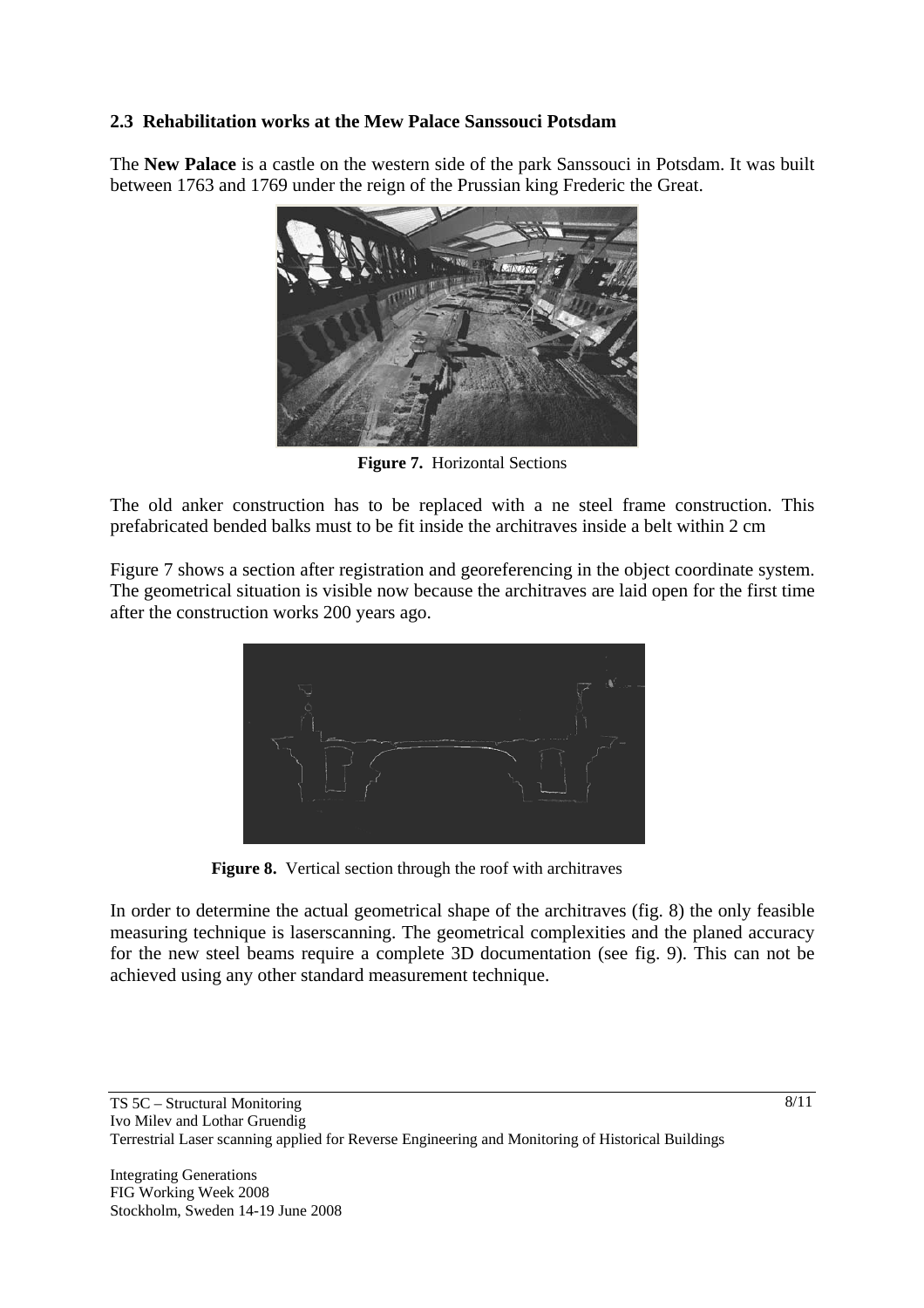# **2.3 Rehabilitation works at the Mew Palace Sanssouci Potsdam**

The **New Palace** is a castle on the western side of the park Sanssouci in Potsdam. It was built between 1763 and 1769 under the reign of the Prussian king Frederic the Great.



**Figure 7.** Horizontal Sections

The old anker construction has to be replaced with a ne steel frame construction. This prefabricated bended balks must to be fit inside the architraves inside a belt within 2 cm

Figure 7 shows a section after registration and georeferencing in the object coordinate system. The geometrical situation is visible now because the architraves are laid open for the first time after the construction works 200 years ago.



**Figure 8.** Vertical section through the roof with architraves

In order to determine the actual geometrical shape of the architraves (fig. 8) the only feasible measuring technique is laserscanning. The geometrical complexities and the planed accuracy for the new steel beams require a complete 3D documentation (see fig. 9). This can not be achieved using any other standard measurement technique.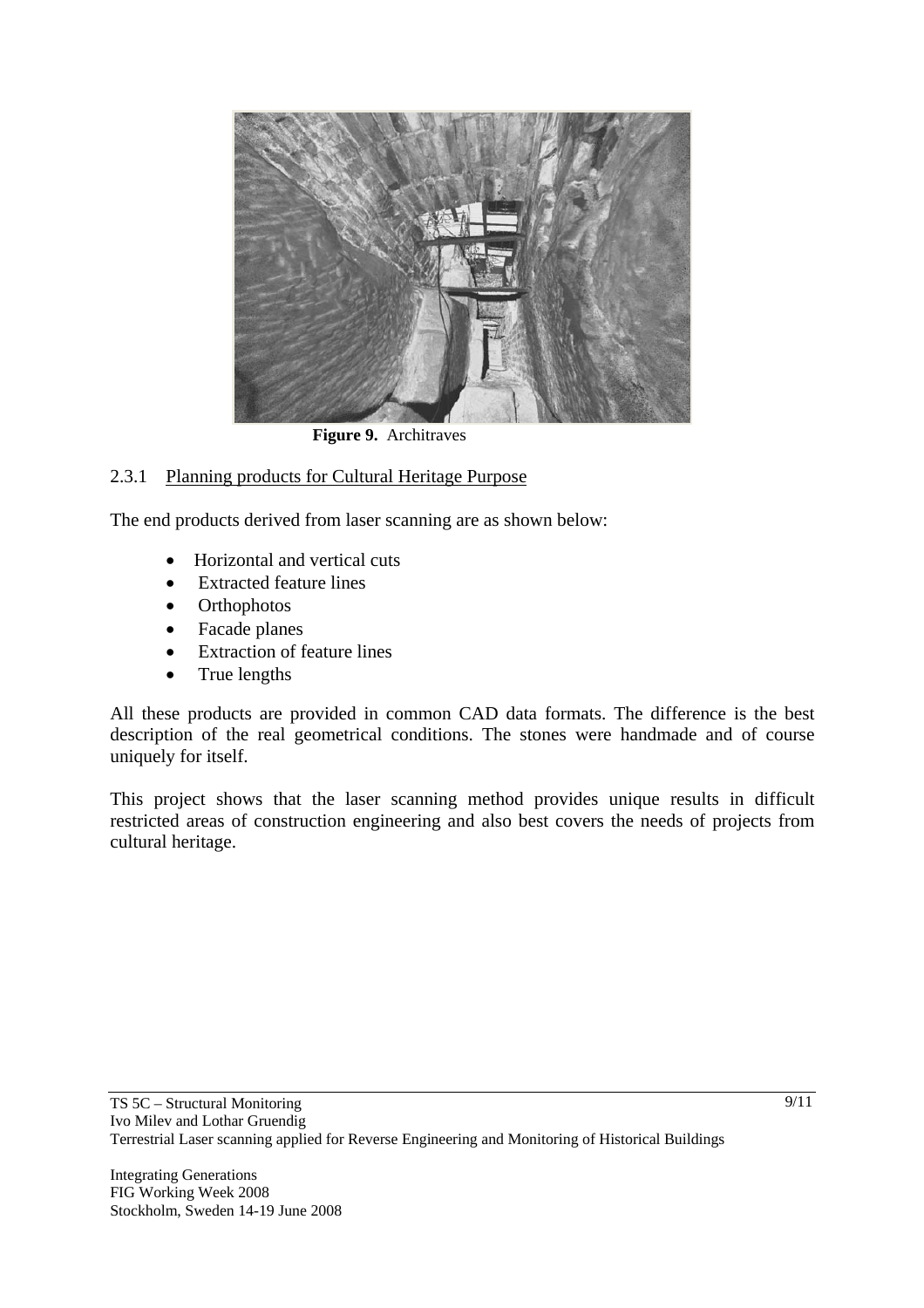

**Figure 9.** Architraves

### 2.3.1 Planning products for Cultural Heritage Purpose

The end products derived from laser scanning are as shown below:

- Horizontal and vertical cuts
- Extracted feature lines
- Orthophotos
- Facade planes
- Extraction of feature lines
- True lengths

All these products are provided in common CAD data formats. The difference is the best description of the real geometrical conditions. The stones were handmade and of course uniquely for itself.

This project shows that the laser scanning method provides unique results in difficult restricted areas of construction engineering and also best covers the needs of projects from cultural heritage.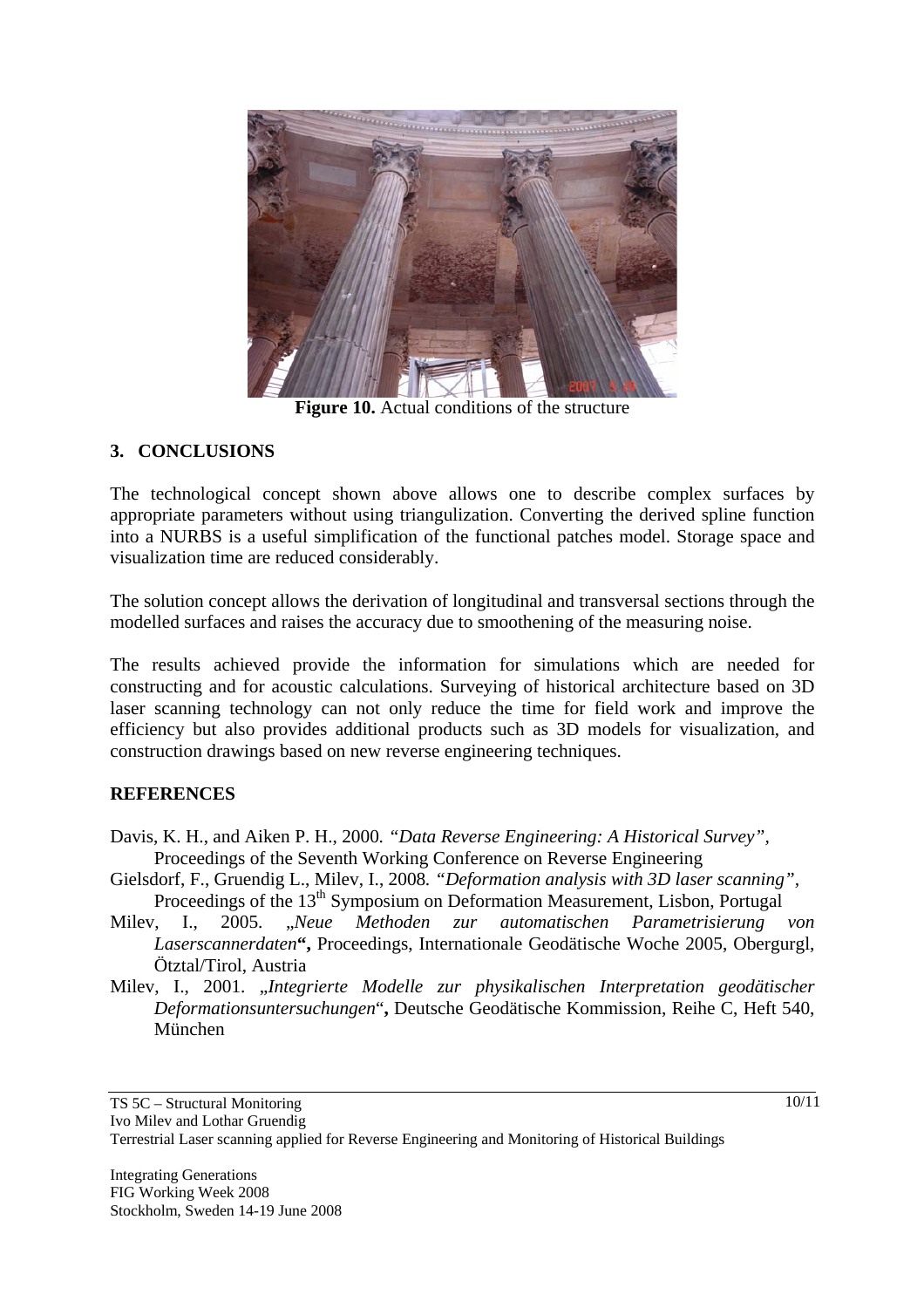

**Figure 10.** Actual conditions of the structure

### **3. CONCLUSIONS**

The technological concept shown above allows one to describe complex surfaces by appropriate parameters without using triangulization. Converting the derived spline function into a NURBS is a useful simplification of the functional patches model. Storage space and visualization time are reduced considerably.

The solution concept allows the derivation of longitudinal and transversal sections through the modelled surfaces and raises the accuracy due to smoothening of the measuring noise.

The results achieved provide the information for simulations which are needed for constructing and for acoustic calculations. Surveying of historical architecture based on 3D laser scanning technology can not only reduce the time for field work and improve the efficiency but also provides additional products such as 3D models for visualization, and construction drawings based on new reverse engineering techniques.

### **REFERENCES**

- Davis, K. H., and Aiken P. H., 2000*. "Data Reverse Engineering: A Historical Survey",* Proceedings of the Seventh Working Conference on Reverse Engineering
- Gielsdorf, F., Gruendig L., Milev, I., 2008*. "Deformation analysis with 3D laser scanning",* Proceedings of the 13<sup>th</sup> Symposium on Deformation Measurement, Lisbon, Portugal
- Milev, I., 2005. "*Neue Methoden zur automatischen Parametrisierung von Laserscannerdaten***",** Proceedings, Internationale Geodätische Woche 2005, Obergurgl, Ötztal/Tirol, Austria
- Milev, I., 2001. "*Integrierte Modelle zur physikalischen Interpretation geodätischer Deformationsuntersuchungen*"**,** Deutsche Geodätische Kommission, Reihe C, Heft 540, München

10/11